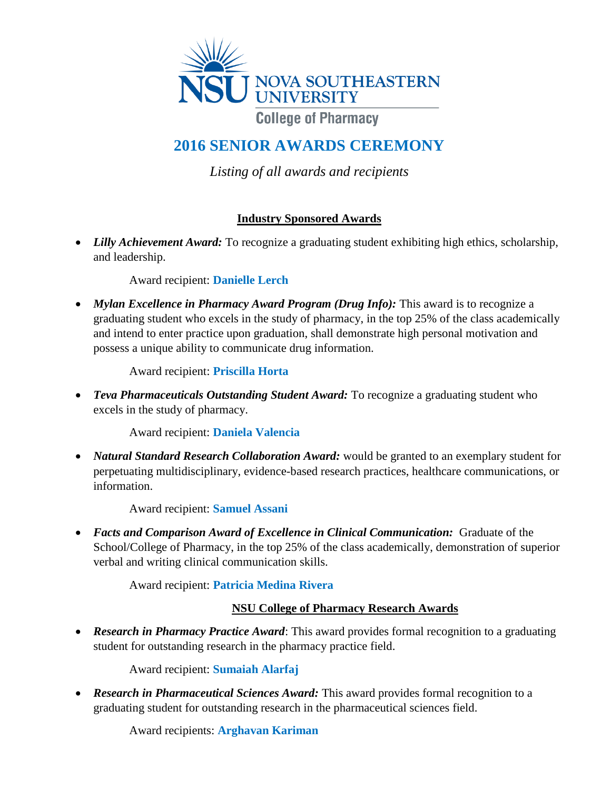

# **2016 SENIOR AWARDS CEREMONY**

*Listing of all awards and recipients*

### **Industry Sponsored Awards**

• Lilly *Achievement Award:* To recognize a graduating student exhibiting high ethics, scholarship, and leadership.

Award recipient: **Danielle Lerch**

• *Mylan Excellence in Pharmacy Award Program (Drug Info):* This award is to recognize a graduating student who excels in the study of pharmacy, in the top 25% of the class academically and intend to enter practice upon graduation, shall demonstrate high personal motivation and possess a unique ability to communicate drug information.

Award recipient: **Priscilla Horta**

 *Teva Pharmaceuticals Outstanding Student Award:* To recognize a graduating student who excels in the study of pharmacy.

Award recipient: **Daniela Valencia**

 *Natural Standard Research Collaboration Award:* would be granted to an exemplary student for perpetuating multidisciplinary, evidence-based research practices, healthcare communications, or information.

Award recipient: **Samuel Assani**

 *Facts and Comparison Award of Excellence in Clinical Communication:* Graduate of the School/College of Pharmacy, in the top 25% of the class academically, demonstration of superior verbal and writing clinical communication skills.

Award recipient: **Patricia Medina Rivera**

#### **NSU College of Pharmacy Research Awards**

 *Research in Pharmacy Practice Award*: This award provides formal recognition to a graduating student for outstanding research in the pharmacy practice field.

Award recipient: **Sumaiah Alarfaj**

 *Research in Pharmaceutical Sciences Award:* This award provides formal recognition to a graduating student for outstanding research in the pharmaceutical sciences field.

Award recipients: **Arghavan Kariman**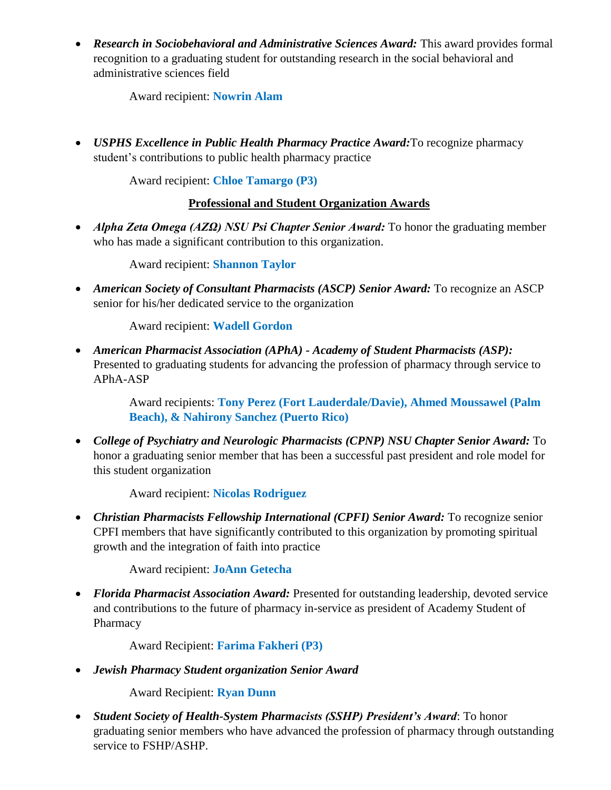*Research in Sociobehavioral and Administrative Sciences Award:* This award provides formal recognition to a graduating student for outstanding research in the social behavioral and administrative sciences field

Award recipient: **Nowrin Alam**

 *USPHS Excellence in Public Health Pharmacy Practice Award:*To recognize pharmacy student's contributions to public health pharmacy practice

Award recipient: **Chloe Tamargo (P3)**

#### **Professional and Student Organization Awards**

 *Alpha Zeta Omega (ΑΖΩ) NSU Psi Chapter Senior Award:* To honor the graduating member who has made a significant contribution to this organization.

Award recipient: **Shannon Taylor**

 *American Society of Consultant Pharmacists (ASCP) Senior Award:* To recognize an ASCP senior for his/her dedicated service to the organization

Award recipient: **Wadell Gordon**

 *American Pharmacist Association (APhA) - Academy of Student Pharmacists (ASP):* Presented to graduating students for advancing the profession of pharmacy through service to APhA-ASP

> Award recipients: **Tony Perez (Fort Lauderdale/Davie), Ahmed Moussawel (Palm Beach), & Nahirony Sanchez (Puerto Rico)**

 *College of Psychiatry and Neurologic Pharmacists (CPNP) NSU Chapter Senior Award:* To honor a graduating senior member that has been a successful past president and role model for this student organization

Award recipient: **Nicolas Rodriguez**

 *Christian Pharmacists Fellowship International (CPFI) Senior Award:* To recognize senior CPFI members that have significantly contributed to this organization by promoting spiritual growth and the integration of faith into practice

Award recipient: **JoAnn Getecha**

• Florida Pharmacist Association Award: Presented for outstanding leadership, devoted service and contributions to the future of pharmacy in-service as president of Academy Student of Pharmacy

Award Recipient: **Farima Fakheri (P3)**

*Jewish Pharmacy Student organization Senior Award*

Award Recipient: **Ryan Dunn**

 *Student Society of Health-System Pharmacists (SSHP) President's Award*: To honor graduating senior members who have advanced the profession of pharmacy through outstanding service to FSHP/ASHP.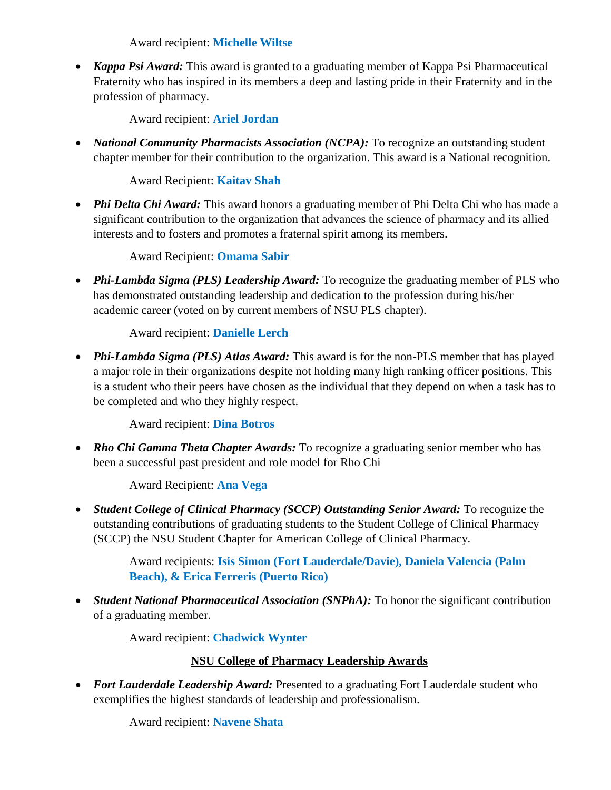Award recipient: **Michelle Wiltse**

 *Kappa Psi Award:* This award is granted to a graduating member of Kappa Psi Pharmaceutical Fraternity who has inspired in its members a deep and lasting pride in their Fraternity and in the profession of pharmacy.

Award recipient: **Ariel Jordan**

• *National Community Pharmacists Association (NCPA):* To recognize an outstanding student chapter member for their contribution to the organization. This award is a National recognition.

Award Recipient: **Kaitav Shah**

 *Phi Delta Chi Award:* This award honors a graduating member of Phi Delta Chi who has made a significant contribution to the organization that advances the science of pharmacy and its allied interests and to fosters and promotes a fraternal spirit among its members.

Award Recipient: **Omama Sabir**

• *Phi-Lambda Sigma (PLS) Leadership Award:* To recognize the graduating member of PLS who has demonstrated outstanding leadership and dedication to the profession during his/her academic career (voted on by current members of NSU PLS chapter).

Award recipient: **Danielle Lerch**

 *Phi-Lambda Sigma (PLS) Atlas Award:* This award is for the non-PLS member that has played a major role in their organizations despite not holding many high ranking officer positions. This is a student who their peers have chosen as the individual that they depend on when a task has to be completed and who they highly respect.

Award recipient: **Dina Botros**

 *Rho Chi Gamma Theta Chapter Awards:* To recognize a graduating senior member who has been a successful past president and role model for Rho Chi

Award Recipient: **Ana Vega**

 *Student College of Clinical Pharmacy (SCCP) Outstanding Senior Award:* To recognize the outstanding contributions of graduating students to the Student College of Clinical Pharmacy (SCCP) the NSU Student Chapter for American College of Clinical Pharmacy.

> Award recipients: **Isis Simon (Fort Lauderdale/Davie), Daniela Valencia (Palm Beach), & Erica Ferreris (Puerto Rico)**

 *Student National Pharmaceutical Association (SNPhA):* To honor the significant contribution of a graduating member.

Award recipient: **Chadwick Wynter**

## **NSU College of Pharmacy Leadership Awards**

 *Fort Lauderdale Leadership Award:* Presented to a graduating Fort Lauderdale student who exemplifies the highest standards of leadership and professionalism.

Award recipient: **Navene Shata**